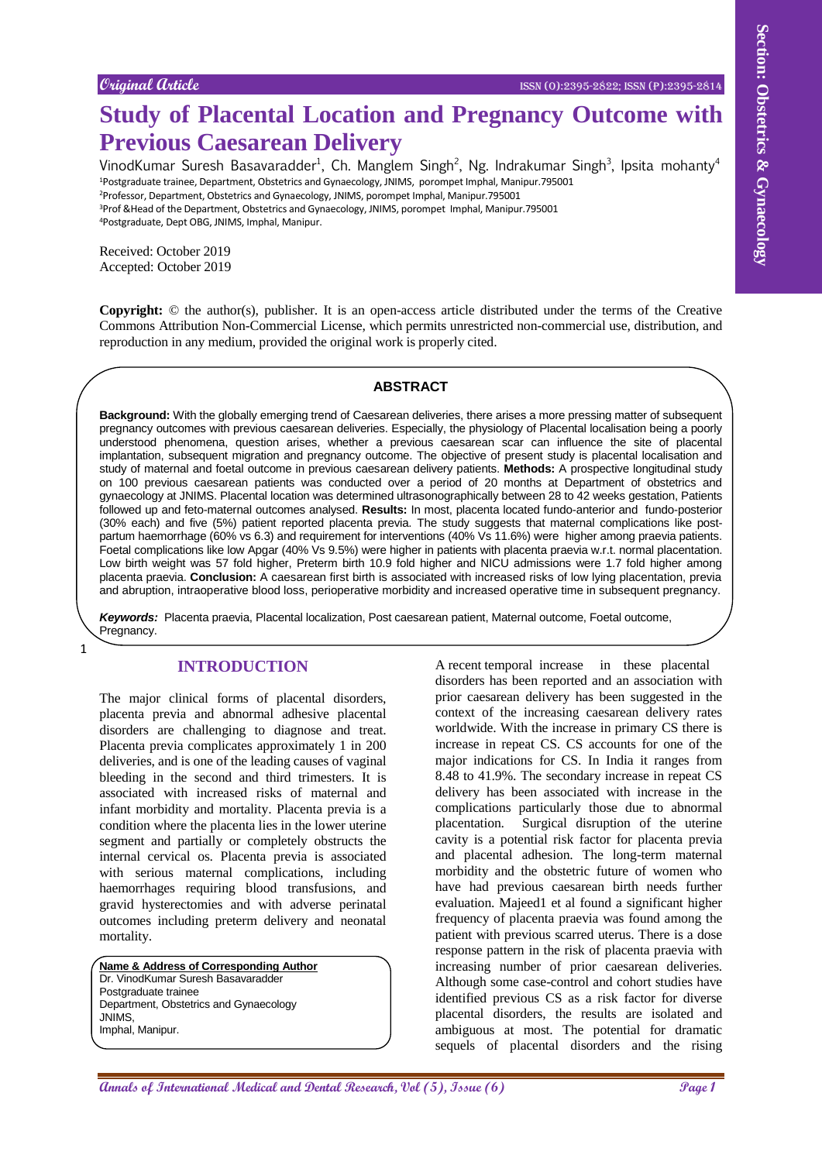# **Study of Placental Location and Pregnancy Outcome with Previous Caesarean Delivery**

VinodKumar Suresh Basavaradder<sup>1</sup>, Ch. Manglem Singh<sup>2</sup>, Ng. Indrakumar Singh<sup>3</sup>, Ipsita mohanty<sup>4</sup> <sup>1</sup>Postgraduate trainee, Department, Obstetrics and Gynaecology, JNIMS, porompet Imphal, Manipur.795001 <sup>2</sup>Professor, Department, Obstetrics and Gynaecology, JNIMS, porompet Imphal, Manipur.795001

<sup>3</sup>Prof &Head of the Department, Obstetrics and Gynaecology, JNIMS, porompet Imphal, Manipur.795001 <sup>4</sup>Postgraduate, Dept OBG, JNIMS, Imphal, Manipur.

Received: October 2019 Accepted: October 2019

1

**Copyright:** © the author(s), publisher. It is an open-access article distributed under the terms of the Creative Commons Attribution Non-Commercial License, which permits unrestricted non-commercial use, distribution, and reproduction in any medium, provided the original work is properly cited.

#### **ABSTRACT**

Coupled Gode.<br> **Annals of Placential Location and Pregnancy Outcome with the coupled and the coupled and the coupled and the coupled and the coupled and the coupled and the coupled and the coupled and the coupled and the Background:** With the globally emerging trend of Caesarean deliveries, there arises a more pressing matter of subsequent pregnancy outcomes with previous caesarean deliveries. Especially, the physiology of Placental localisation being a poorly understood phenomena, question arises, whether a previous caesarean scar can influence the site of placental implantation, subsequent migration and pregnancy outcome. The objective of present study is placental localisation and study of maternal and foetal outcome in previous caesarean delivery patients. **Methods:** A prospective longitudinal study on 100 previous caesarean patients was conducted over a period of 20 months at Department of obstetrics and gynaecology at JNIMS. Placental location was determined ultrasonographically between 28 to 42 weeks gestation, Patients followed up and feto-maternal outcomes analysed. **Results:** In most, placenta located fundo-anterior and fundo-posterior (30% each) and five (5%) patient reported placenta previa. The study suggests that maternal complications like postpartum haemorrhage (60% vs 6.3) and requirement for interventions (40% Vs 11.6%) were higher among praevia patients. Foetal complications like low Apgar (40% Vs 9.5%) were higher in patients with placenta praevia w.r.t. normal placentation. Low birth weight was 57 fold higher, Preterm birth 10.9 fold higher and NICU admissions were 1.7 fold higher among placenta praevia. **Conclusion:** A caesarean first birth is associated with increased risks of low lying placentation, previa and abruption, intraoperative blood loss, perioperative morbidity and increased operative time in subsequent pregnancy.

*Keywords:* Placenta praevia, Placental localization, Post caesarean patient, Maternal outcome, Foetal outcome, Pregnancy.

# **INTRODUCTION**

The major clinical forms of placental disorders, placenta previa and abnormal adhesive placental disorders are challenging to diagnose and treat. Placenta previa complicates approximately 1 in 200 deliveries, and is one of the leading causes of vaginal bleeding in the second and third trimesters. It is associated with increased risks of maternal and infant morbidity and mortality. Placenta previa is a condition where the placenta lies in the lower uterine segment and partially or completely obstructs the internal cervical os. Placenta previa is associated with serious maternal complications, including haemorrhages requiring blood transfusions, and gravid hysterectomies and with adverse perinatal outcomes including preterm delivery and neonatal mortality.

**Name & Address of Corresponding Author** Dr. VinodKumar Suresh Basavaradder Postgraduate trainee Department, Obstetrics and Gynaecology JNIMS, Imphal, Manipur.

A recent temporal increase in these placental disorders has been reported and an association with prior caesarean delivery has been suggested in the context of the increasing caesarean delivery rates worldwide. With the increase in primary CS there is increase in repeat CS. CS accounts for one of the major indications for CS. In India it ranges from 8.48 to 41.9%. The secondary increase in repeat CS delivery has been associated with increase in the complications particularly those due to abnormal placentation. Surgical disruption of the uterine cavity is a potential risk factor for placenta previa and placental adhesion. The long-term maternal morbidity and the obstetric future of women who have had previous caesarean birth needs further evaluation. Majeed1 et al found a significant higher frequency of placenta praevia was found among the patient with previous scarred uterus. There is a dose response pattern in the risk of placenta praevia with increasing number of prior caesarean deliveries. Although some case-control and cohort studies have identified previous CS as a risk factor for diverse placental disorders, the results are isolated and ambiguous at most. The potential for dramatic sequels of placental disorders and the rising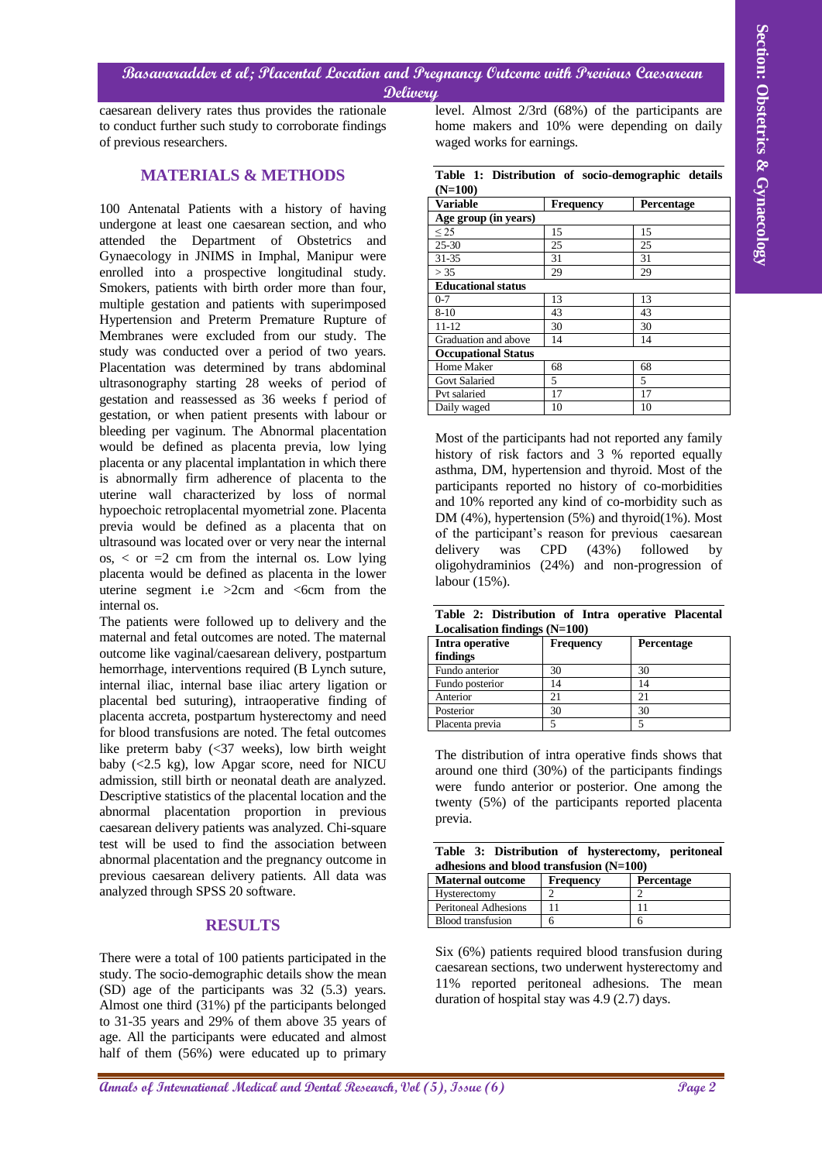caesarean delivery rates thus provides the rationale to conduct further such study to corroborate findings of previous researchers.

# **MATERIALS & METHODS**

**Alternational distributional Excited methods in the Constrainer Constrainer Constrainer Constrainer Constrainer<br>
Annals of Paychet and Activities Constrainer Constrainer Constrainer Constrainer Constrainer Constrainer Co** 100 Antenatal Patients with a history of having undergone at least one caesarean section, and who attended the Department of Obstetrics and Gynaecology in JNIMS in Imphal, Manipur were enrolled into a prospective longitudinal study. Smokers, patients with birth order more than four, multiple gestation and patients with superimposed Hypertension and Preterm Premature Rupture of Membranes were excluded from our study. The study was conducted over a period of two years. Placentation was determined by trans abdominal ultrasonography starting 28 weeks of period of gestation and reassessed as 36 weeks f period of gestation, or when patient presents with labour or bleeding per vaginum. The Abnormal placentation would be defined as placenta previa, low lying placenta or any placental implantation in which there is abnormally firm adherence of placenta to the uterine wall characterized by loss of normal hypoechoic retroplacental myometrial zone. Placenta previa would be defined as a placenta that on ultrasound was located over or very near the internal  $\cos s$ ,  $\cos s$  = 2 cm from the internal os. Low lying placenta would be defined as placenta in the lower uterine segment i.e  $>2$ cm and  $<$ 6cm from the internal os.

The patients were followed up to delivery and the maternal and fetal outcomes are noted. The maternal outcome like vaginal/caesarean delivery, postpartum hemorrhage, interventions required (B Lynch suture, internal iliac, internal base iliac artery ligation or placental bed suturing), intraoperative finding of placenta accreta, postpartum hysterectomy and need for blood transfusions are noted. The fetal outcomes like preterm baby (<37 weeks), low birth weight baby (<2.5 kg), low Apgar score, need for NICU admission, still birth or neonatal death are analyzed. Descriptive statistics of the placental location and the abnormal placentation proportion in previous caesarean delivery patients was analyzed. Chi-square test will be used to find the association between abnormal placentation and the pregnancy outcome in previous caesarean delivery patients. All data was analyzed through SPSS 20 software.

# **RESULTS**

There were a total of 100 patients participated in the study. The socio-demographic details show the mean (SD) age of the participants was 32 (5.3) years. Almost one third (31%) pf the participants belonged to 31-35 years and 29% of them above 35 years of age. All the participants were educated and almost half of them (56%) were educated up to primary

level. Almost 2/3rd (68%) of the participants are home makers and 10% were depending on daily waged works for earnings.

|           |  | Table 1: Distribution of socio-demographic details |  |
|-----------|--|----------------------------------------------------|--|
| $(N=100)$ |  |                                                    |  |

| <b>Variable</b>            | <b>Frequency</b> | Percentage |  |  |  |
|----------------------------|------------------|------------|--|--|--|
| Age group (in years)       |                  |            |  |  |  |
| < 25                       | 15               | 15         |  |  |  |
| $25 - 30$                  | 25               | 25         |  |  |  |
| $31 - 35$                  | 31               | 31         |  |  |  |
| > 35                       | 29               | 29         |  |  |  |
| <b>Educational status</b>  |                  |            |  |  |  |
| $0 - 7$                    | 13               | 13         |  |  |  |
| $8 - 10$                   | 43               | 43         |  |  |  |
| $11 - 12$                  | 30               | 30         |  |  |  |
| Graduation and above       | 14               | 14         |  |  |  |
| <b>Occupational Status</b> |                  |            |  |  |  |
| Home Maker                 | 68               | 68         |  |  |  |
| <b>Govt Salaried</b>       | 5                | 5          |  |  |  |
| Pvt salaried               | 17               | 17         |  |  |  |
| Daily waged                | 10               | 10         |  |  |  |

Most of the participants had not reported any family history of risk factors and 3 % reported equally asthma, DM, hypertension and thyroid. Most of the participants reported no history of co-morbidities and 10% reported any kind of co-morbidity such as DM (4%), hypertension (5%) and thyroid(1%). Most of the participant's reason for previous caesarean delivery was CPD (43%) followed by oligohydraminios (24%) and non-progression of labour (15%).

|  | Table 2: Distribution of Intra operative Placental |  |  |
|--|----------------------------------------------------|--|--|
|  | Localisation findings $(N=100)$                    |  |  |

| Intra operative<br>findings | <b>Frequency</b> | Percentage |
|-----------------------------|------------------|------------|
| Fundo anterior              | 30               | 30         |
| Fundo posterior             | 14               |            |
| Anterior                    |                  |            |
| Posterior                   | 30               | 30         |
| Placenta previa             |                  |            |

The distribution of intra operative finds shows that around one third (30%) of the participants findings were fundo anterior or posterior. One among the twenty (5%) of the participants reported placenta previa.

|                                           |  |  | Table 3: Distribution of hysterectomy, peritoneal |  |
|-------------------------------------------|--|--|---------------------------------------------------|--|
| adhesions and blood transfusion $(N=100)$ |  |  |                                                   |  |

| $a$ dnesions and blood transitission $(N=100)$ |           |                   |  |  |
|------------------------------------------------|-----------|-------------------|--|--|
| <b>Maternal outcome</b>                        | Frequency | <b>Percentage</b> |  |  |
| Hysterectomy                                   |           |                   |  |  |
| <b>Peritoneal Adhesions</b>                    |           |                   |  |  |
| <b>Blood transfusion</b>                       |           | n                 |  |  |

Six (6%) patients required blood transfusion during caesarean sections, two underwent hysterectomy and 11% reported peritoneal adhesions. The mean duration of hospital stay was 4.9 (2.7) days.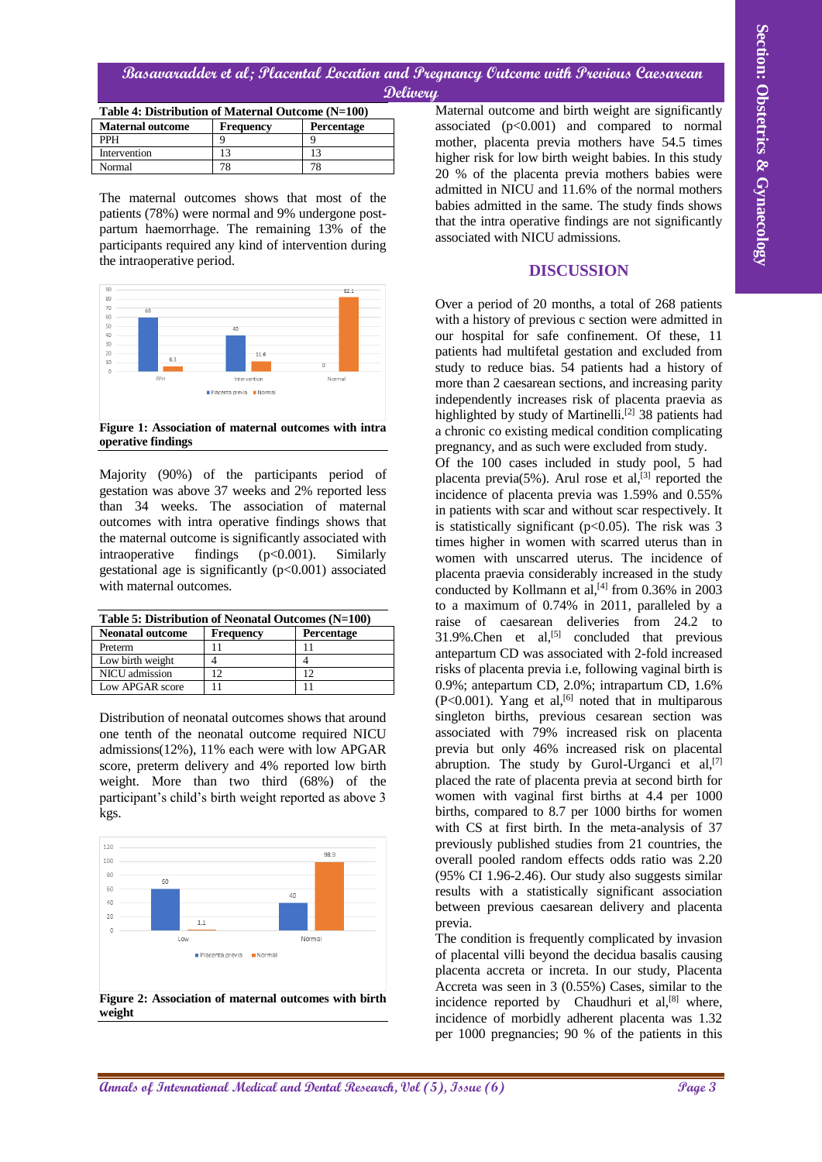# **Basavaradder et al; Placental Location and Pregnancy Outcome with Previous Caesarean Delivery**

| Table 4: Distribution of Maternal Outcome (N=100) |           |                   |  |  |
|---------------------------------------------------|-----------|-------------------|--|--|
| <b>Maternal outcome</b>                           | Frequency | <b>Percentage</b> |  |  |
| <b>PPH</b>                                        |           |                   |  |  |
| Intervention                                      |           |                   |  |  |
| Normal                                            |           |                   |  |  |

The maternal outcomes shows that most of the patients (78%) were normal and 9% undergone postpartum haemorrhage. The remaining 13% of the participants required any kind of intervention during the intraoperative period.



**Figure 1: Association of maternal outcomes with intra operative findings**

Majority (90%) of the participants period of gestation was above 37 weeks and 2% reported less than 34 weeks. The association of maternal outcomes with intra operative findings shows that the maternal outcome is significantly associated with intraoperative findings  $(p<0.001)$ . Similarly gestational age is significantly  $(p<0.001)$  associated with maternal outcomes.

| Table 5: Distribution of Neonatal Outcomes (N=100) |                  |                   |  |  |  |
|----------------------------------------------------|------------------|-------------------|--|--|--|
| <b>Neonatal outcome</b>                            | <b>Frequency</b> | <b>Percentage</b> |  |  |  |
| Preterm                                            |                  |                   |  |  |  |
| Low birth weight                                   |                  |                   |  |  |  |
| NICU admission                                     |                  | 12                |  |  |  |
| Low APGAR score                                    |                  |                   |  |  |  |

Distribution of neonatal outcomes shows that around one tenth of the neonatal outcome required NICU admissions(12%), 11% each were with low APGAR score, preterm delivery and 4% reported low birth weight. More than two third (68%) of the participant's child's birth weight reported as above 3 kgs.



Maternal outcome and birth weight are significantly associated  $(p<0.001)$  and compared to normal mother, placenta previa mothers have 54.5 times higher risk for low birth weight babies. In this study 20 % of the placenta previa mothers babies were admitted in NICU and 11.6% of the normal mothers babies admitted in the same. The study finds shows that the intra operative findings are not significantly associated with NICU admissions.

#### **DISCUSSION**

Over a period of 20 months, a total of 268 patients with a history of previous c section were admitted in our hospital for safe confinement. Of these, 11 patients had multifetal gestation and excluded from study to reduce bias. 54 patients had a history of more than 2 caesarean sections, and increasing parity independently increases risk of placenta praevia as highlighted by study of Martinelli.<sup>[2]</sup> 38 patients had a chronic co existing medical condition complicating pregnancy, and as such were excluded from study.

**Alternational distribution of Control Control Control Control Control Control Control Control Control Control Control Control Control Control Control Control Control Control Control Control Control Control Control Contro** Of the 100 cases included in study pool, 5 had placenta previa( $5\%$ ). Arul rose et al,<sup>[3]</sup> reported the incidence of placenta previa was 1.59% and 0.55% in patients with scar and without scar respectively. It is statistically significant  $(p<0.05)$ . The risk was 3 times higher in women with scarred uterus than in women with unscarred uterus. The incidence of placenta praevia considerably increased in the study conducted by Kollmann et al,<sup>[4]</sup> from 0.36% in 2003 to a maximum of 0.74% in 2011, paralleled by a raise of caesarean deliveries from 24.2 to  $31.9\%$ . Chen et al,<sup>[5]</sup> concluded that previous antepartum CD was associated with 2-fold increased risks of placenta previa i.e, following vaginal birth is 0.9%; antepartum CD, 2.0%; intrapartum CD, 1.6%  $(P<0.001)$ . Yang et al,<sup>[6]</sup> noted that in multiparous singleton births, previous cesarean section was associated with 79% increased risk on placenta previa but only 46% increased risk on placental abruption. The study by Gurol-Urganci et al,<sup>[7]</sup> placed the rate of placenta previa at second birth for women with vaginal first births at 4.4 per 1000 births, compared to 8.7 per 1000 births for women with CS at first birth. In the meta-analysis of 37 previously published studies from 21 countries, the overall pooled random effects odds ratio was 2.20 (95% CI 1.96-2.46). Our study also suggests similar results with a statistically significant association between previous caesarean delivery and placenta previa.

The condition is frequently complicated by invasion of placental villi beyond the decidua basalis causing placenta accreta or increta. In our study, Placenta Accreta was seen in 3 (0.55%) Cases, similar to the incidence reported by Chaudhuri et  $al$ ,<sup>[8]</sup>, where, incidence of morbidly adherent placenta was 1.32 per 1000 pregnancies; 90 % of the patients in this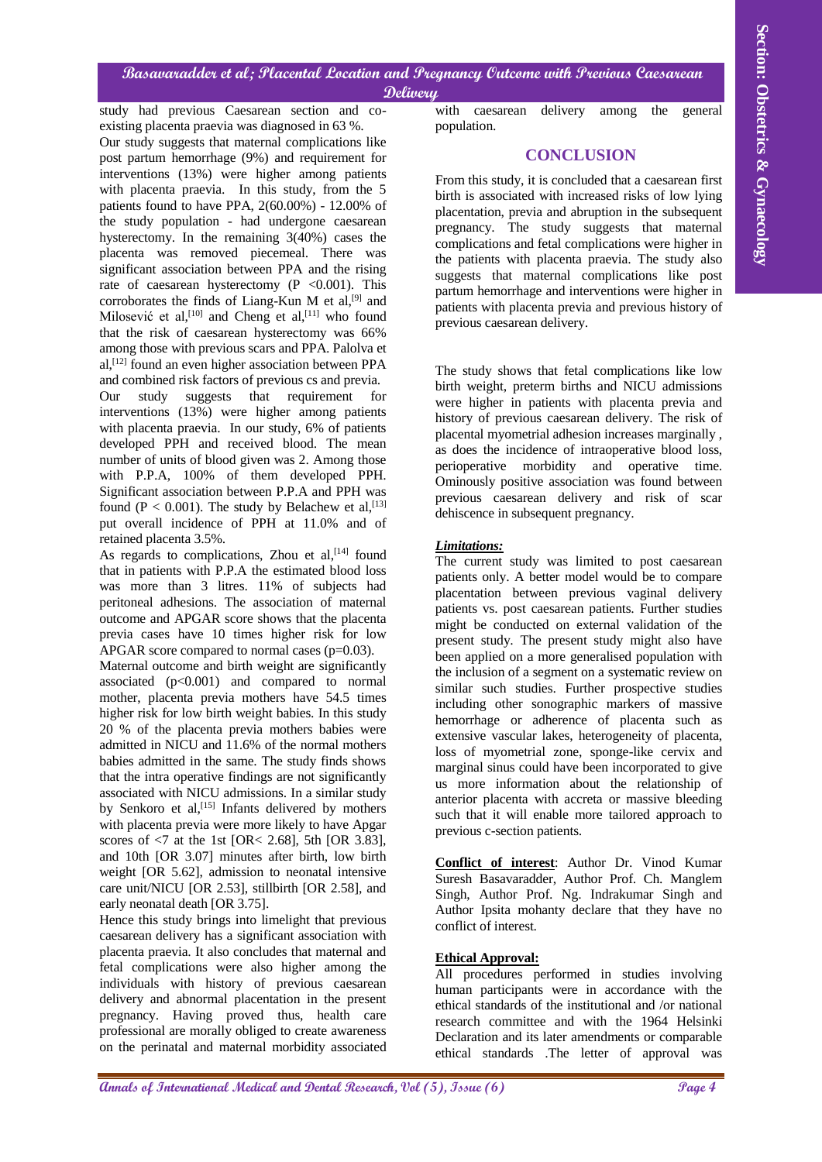# **Basavaradder et al; Placental Location and Pregnancy Outcome with Previous Caesarean Delivery**

study had previous Caesarean section and coexisting placenta praevia was diagnosed in 63 %.

**Altonescender of als** *Dental Research of Dental Research***, Conservation and** *Chinamic* **Conservation and** *Chinamic Conservation* **and** *Chinamic Conservation* **and** *Chinamic Conservation* **and** *Chinamic Conservation* **and** *Con* Our study suggests that maternal complications like post partum hemorrhage (9%) and requirement for interventions (13%) were higher among patients with placenta praevia. In this study, from the 5 patients found to have PPA, 2(60.00%) - 12.00% of the study population - had undergone caesarean hysterectomy. In the remaining 3(40%) cases the placenta was removed piecemeal. There was significant association between PPA and the rising rate of caesarean hysterectomy  $(P \le 0.001)$ . This corroborates the finds of Liang-Kun M et  $al$ ,  $[9]$  and Milosević et al,<sup>[10]</sup> and Cheng et al,<sup>[11]</sup> who found that the risk of caesarean hysterectomy was 66% among those with previous scars and PPA. Palolva et al, [12] found an even higher association between PPA and combined risk factors of previous cs and previa. Our study suggests that requirement for interventions (13%) were higher among patients with placenta praevia. In our study, 6% of patients developed PPH and received blood. The mean number of units of blood given was 2. Among those with P.P.A, 100% of them developed PPH. Significant association between P.P.A and PPH was found ( $P < 0.001$ ). The study by Belachew et al, [13] put overall incidence of PPH at 11.0% and of retained placenta 3.5%.

As regards to complications, Zhou et al,<sup>[14]</sup> found that in patients with P.P.A the estimated blood loss was more than 3 litres. 11% of subjects had peritoneal adhesions. The association of maternal outcome and APGAR score shows that the placenta previa cases have 10 times higher risk for low APGAR score compared to normal cases  $(p=0.03)$ .

Maternal outcome and birth weight are significantly associated  $(p<0.001)$  and compared to normal mother, placenta previa mothers have 54.5 times higher risk for low birth weight babies. In this study 20 % of the placenta previa mothers babies were admitted in NICU and 11.6% of the normal mothers babies admitted in the same. The study finds shows that the intra operative findings are not significantly associated with NICU admissions. In a similar study by Senkoro et al,  $[15]$  Infants delivered by mothers with placenta previa were more likely to have Apgar scores of  $\leq$  7 at the 1st [OR $\leq$  2.68], 5th [OR 3.83]. and 10th [OR 3.07] minutes after birth, low birth weight [OR 5.62], admission to neonatal intensive care unit/NICU [OR 2.53], stillbirth [OR 2.58], and early neonatal death [OR 3.75].

Hence this study brings into limelight that previous caesarean delivery has a significant association with placenta praevia. It also concludes that maternal and fetal complications were also higher among the individuals with history of previous caesarean delivery and abnormal placentation in the present pregnancy. Having proved thus, health care professional are morally obliged to create awareness on the perinatal and maternal morbidity associated

with caesarean delivery among the general population.

# **CONCLUSION**

From this study, it is concluded that a caesarean first birth is associated with increased risks of low lying placentation, previa and abruption in the subsequent pregnancy. The study suggests that maternal complications and fetal complications were higher in the patients with placenta praevia. The study also suggests that maternal complications like post partum hemorrhage and interventions were higher in patients with placenta previa and previous history of previous caesarean delivery.

The study shows that fetal complications like low birth weight, preterm births and NICU admissions were higher in patients with placenta previa and history of previous caesarean delivery. The risk of placental myometrial adhesion increases marginally , as does the incidence of intraoperative blood loss, perioperative morbidity and operative time. Ominously positive association was found between previous caesarean delivery and risk of scar dehiscence in subsequent pregnancy.

# *Limitations:*

The current study was limited to post caesarean patients only. A better model would be to compare placentation between previous vaginal delivery patients vs. post caesarean patients. Further studies might be conducted on external validation of the present study. The present study might also have been applied on a more generalised population with the inclusion of a segment on a systematic review on similar such studies. Further prospective studies including other sonographic markers of massive hemorrhage or adherence of placenta such as extensive vascular lakes, heterogeneity of placenta, loss of myometrial zone, sponge-like cervix and marginal sinus could have been incorporated to give us more information about the relationship of anterior placenta with accreta or massive bleeding such that it will enable more tailored approach to previous c-section patients.

**Conflict of interest**: Author Dr. Vinod Kumar Suresh Basavaradder, Author Prof. Ch. Manglem Singh, Author Prof. Ng. Indrakumar Singh and Author Ipsita mohanty declare that they have no conflict of interest.

# **Ethical Approval:**

All procedures performed in studies involving human participants were in accordance with the ethical standards of the institutional and /or national research committee and with the 1964 Helsinki Declaration and its later amendments or comparable ethical standards .The letter of approval was